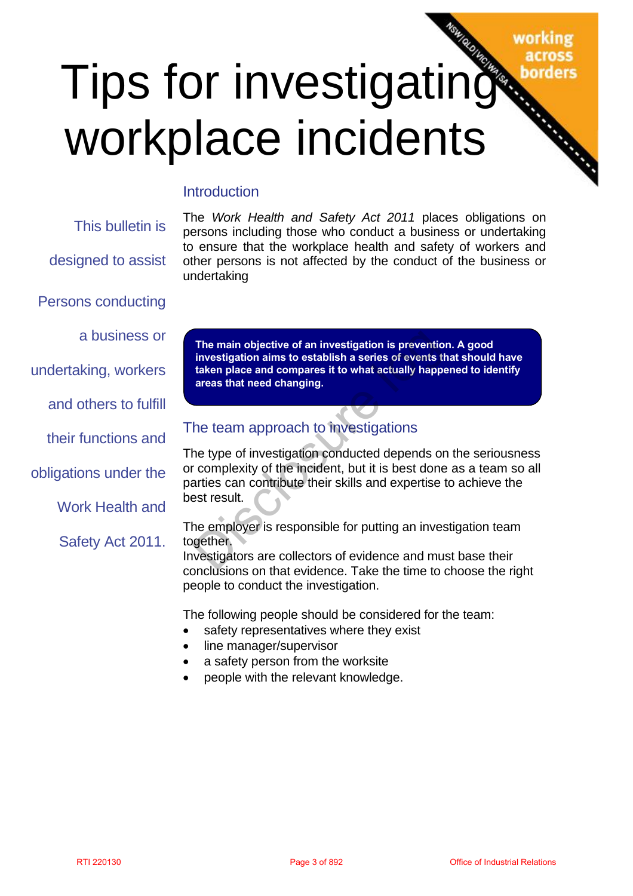## working

# Tips for investigating workplace incidents

#### **Introduction**

This bulletin is designed to assist Persons conducting a business or undertaking, workers and others to fulfill their functions and obligations under the Work Health and Safety Act 2011. The main objective of an investigation is provention. A good<br>
investigation aims to establish a series of events in a stead to them because the compares it to what actually impermed to dentity<br>
others to fulfill<br>
functions

The *Work Health and Safety Act 2011* places obligations on persons including those who conduct a business or undertaking to ensure that the workplace health and safety of workers and other persons is not affected by the conduct of the business or undertaking

**The main objective of an investigation is prevention. A good investigation aims to establish a series of events that should have taken place and compares it to what actually happened to identify areas that need changing.**

#### The team approach to investigations

The type of investigation conducted depends on the seriousness or complexity of the incident, but it is best done as a team so all parties can contribute their skills and expertise to achieve the best result.

The employer is responsible for putting an investigation team together.

Investigators are collectors of evidence and must base their conclusions on that evidence. Take the time to choose the right people to conduct the investigation.

The following people should be considered for the team:

- safety representatives where they exist
- line manager/supervisor
- a safety person from the worksite
- people with the relevant knowledge.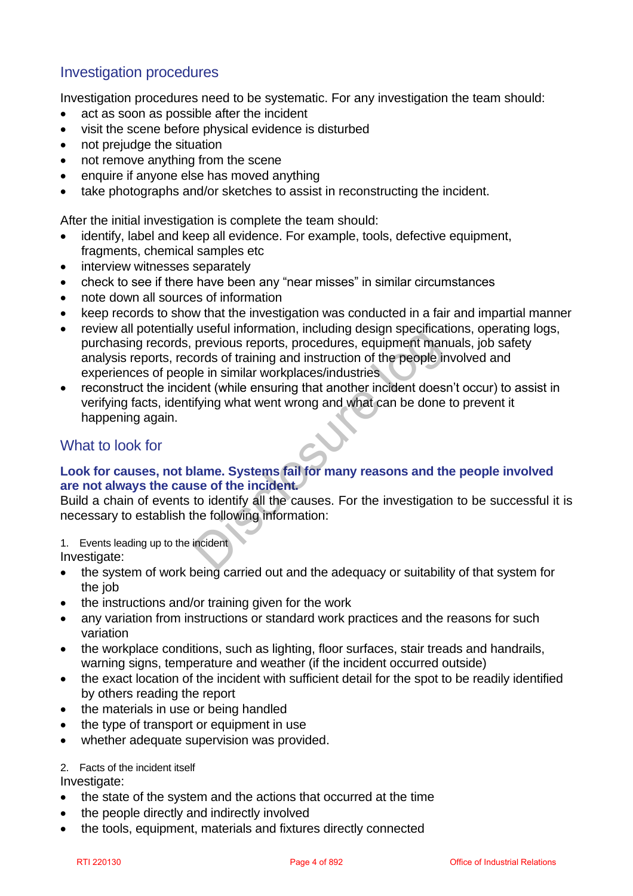#### Investigation procedures

Investigation procedures need to be systematic. For any investigation the team should:

- act as soon as possible after the incident
- visit the scene before physical evidence is disturbed
- not prejudge the situation
- not remove anything from the scene
- enquire if anyone else has moved anything
- take photographs and/or sketches to assist in reconstructing the incident.

After the initial investigation is complete the team should:

- identify, label and keep all evidence. For example, tools, defective equipment, fragments, chemical samples etc
- interview witnesses separately
- check to see if there have been any "near misses" in similar circumstances
- note down all sources of information
- keep records to show that the investigation was conducted in a fair and impartial manner
- review all potentially useful information, including design specifications, operating logs, purchasing records, previous reports, procedures, equipment manuals, job safety analysis reports, records of training and instruction of the people involved and experiences of people in similar workplaces/industries For the power of the middle of training and instituted in the people in simple that all the people in similar vorkplaces/industrial Relation of the people linxtived and analysis reports of the people in similar workplaces/
- reconstruct the incident (while ensuring that another incident doesn't occur) to assist in verifying facts, identifying what went wrong and what can be done to prevent it happening again.

#### What to look for

#### **Look for causes, not blame. Systems fail for many reasons and the people involved are not always the cause of the incident.**

Build a chain of events to identify all the causes. For the investigation to be successful it is necessary to establish the following information:

1. Events leading up to the incident

Investigate:

- the system of work being carried out and the adequacy or suitability of that system for the job
- the instructions and/or training given for the work
- any variation from instructions or standard work practices and the reasons for such variation
- the workplace conditions, such as lighting, floor surfaces, stair treads and handrails, warning signs, temperature and weather (if the incident occurred outside)
- the exact location of the incident with sufficient detail for the spot to be readily identified by others reading the report
- the materials in use or being handled
- the type of transport or equipment in use
- whether adequate supervision was provided.

#### 2. Facts of the incident itself

Investigate:

- the state of the system and the actions that occurred at the time
- the people directly and indirectly involved
- the tools, equipment, materials and fixtures directly connected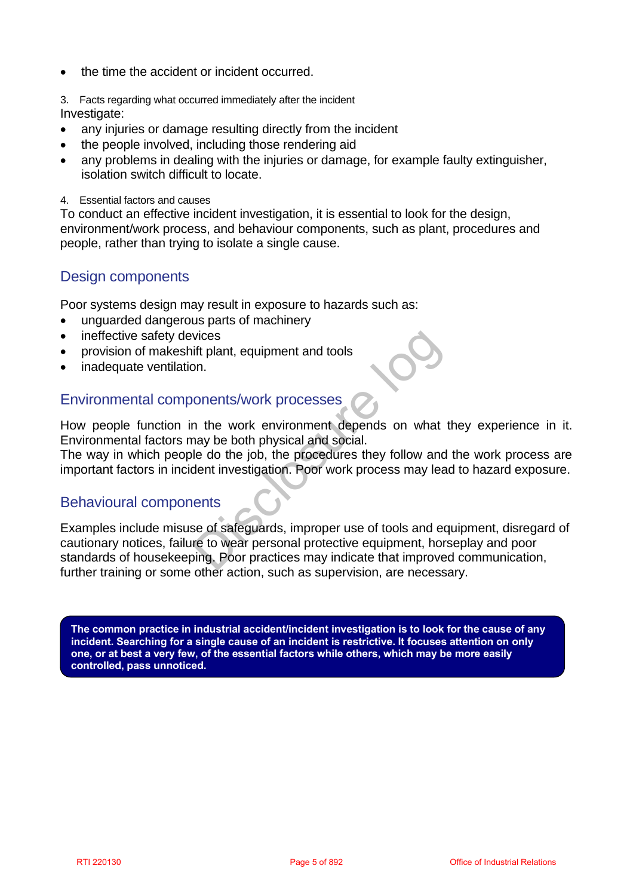- the time the accident or incident occurred.
- 3. Facts regarding what occurred immediately after the incident

Investigate:

- any injuries or damage resulting directly from the incident
- the people involved, including those rendering aid
- any problems in dealing with the injuries or damage, for example faulty extinguisher, isolation switch difficult to locate.
- 4. Essential factors and causes

To conduct an effective incident investigation, it is essential to look for the design, environment/work process, and behaviour components, such as plant, procedures and people, rather than trying to isolate a single cause.

#### Design components

Poor systems design may result in exposure to hazards such as:

- unguarded dangerous parts of machinery
- ineffective safety devices
- provision of makeshift plant, equipment and tools
- inadequate ventilation.

#### Environmental components/work processes

How people function in the work environment depends on what they experience in it. Environmental factors may be both physical and social.

The way in which people do the job, the procedures they follow and the work process are important factors in incident investigation. Poor work process may lead to hazard exposure.

#### Behavioural components

Examples include misuse of safeguards, improper use of tools and equipment, disregard of cautionary notices, failure to wear personal protective equipment, horseplay and poor standards of housekeeping. Poor practices may indicate that improved communication, further training or some other action, such as supervision, are necessary. ineflective safety devices<br>
provision of makeshift plant, equipment and tools<br>
inordequate ventilation.<br>
Wirommental accors may be both physical and social<br>
evay in which people do the job, the procedures they follow and t

**The common practice in industrial accident/incident investigation is to look for the cause of any incident. Searching for a single cause of an incident is restrictive. It focuses attention on only one, or at best a very few, of the essential factors while others, which may be more easily controlled, pass unnoticed.**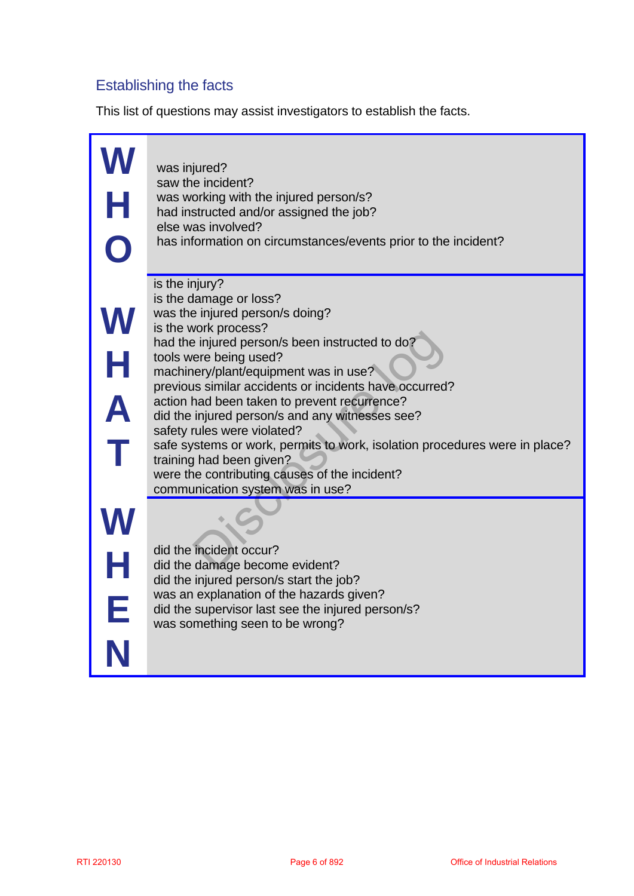### Establishing the facts

This list of questions may assist investigators to establish the facts.

| H          | was injured?<br>saw the incident?<br>was working with the injured person/s?<br>had instructed and/or assigned the job?<br>else was involved?<br>has information on circumstances/events prior to the incident?                                                                                                                                                                                                                                                                                                                                                                                                       |                                       |
|------------|----------------------------------------------------------------------------------------------------------------------------------------------------------------------------------------------------------------------------------------------------------------------------------------------------------------------------------------------------------------------------------------------------------------------------------------------------------------------------------------------------------------------------------------------------------------------------------------------------------------------|---------------------------------------|
|            | is the injury?<br>is the damage or loss?<br>was the injured person/s doing?<br>is the work process?<br>had the injured person/s been instructed to do?<br>tools were being used?<br>machinery/plant/equipment was in use?<br>previous similar accidents or incidents have occurred?<br>action had been taken to prevent recurrence?<br>did the injured person/s and any witnesses see?<br>safety rules were violated?<br>safe systems or work, permits to work, isolation procedures were in place?<br>training had been given?<br>were the contributing causes of the incident?<br>communication system was in use? |                                       |
| N          | did the incident occur?<br>did the damage become evident?<br>did the injured person/s start the job?<br>was an explanation of the hazards given?<br>did the supervisor last see the injured person/s?<br>was something seen to be wrong?                                                                                                                                                                                                                                                                                                                                                                             |                                       |
| RTI 220130 | Page 6 of 892                                                                                                                                                                                                                                                                                                                                                                                                                                                                                                                                                                                                        | <b>Office of Industrial Relations</b> |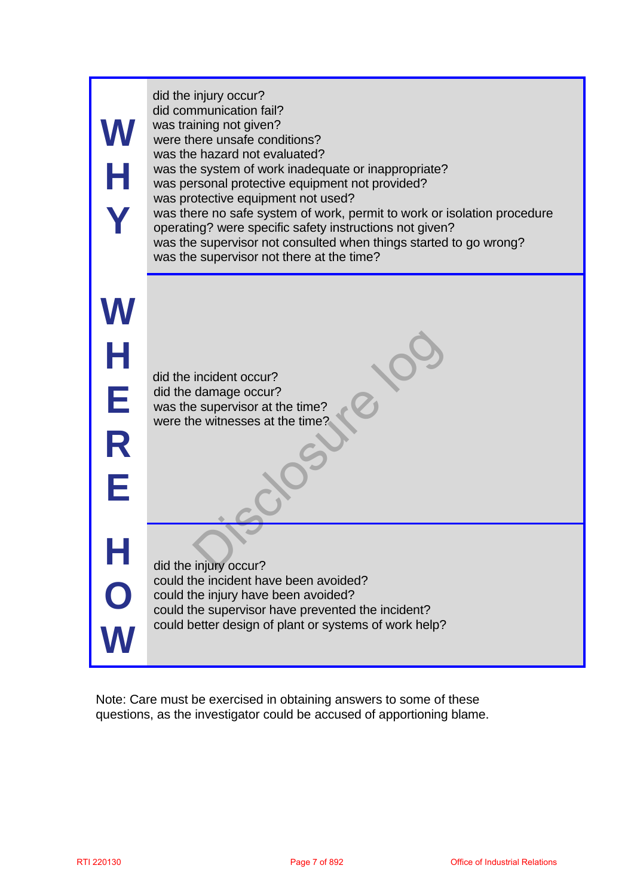| Н                | did the injury occur?<br>did communication fail?<br>was training not given?<br>were there unsafe conditions?<br>was the hazard not evaluated?<br>was the system of work inadequate or inappropriate?<br>was personal protective equipment not provided?<br>was protective equipment not used?<br>was there no safe system of work, permit to work or isolation procedure<br>operating? were specific safety instructions not given?<br>was the supervisor not consulted when things started to go wrong?<br>was the supervisor not there at the time? |                                       |
|------------------|-------------------------------------------------------------------------------------------------------------------------------------------------------------------------------------------------------------------------------------------------------------------------------------------------------------------------------------------------------------------------------------------------------------------------------------------------------------------------------------------------------------------------------------------------------|---------------------------------------|
| Н<br>E<br>R<br>F | did the incident occur?<br>did the damage occur?<br>was the supervisor at the time?<br>were the witnesses at the time?                                                                                                                                                                                                                                                                                                                                                                                                                                |                                       |
|                  | did the injury occur?<br>could the incident have been avoided?<br>could the injury have been avoided?<br>could the supervisor have prevented the incident?<br>could better design of plant or systems of work help?                                                                                                                                                                                                                                                                                                                                   |                                       |
|                  | Note: Care must be exercised in obtaining answers to some of these<br>questions, as the investigator could be accused of apportioning blame.                                                                                                                                                                                                                                                                                                                                                                                                          |                                       |
| RTI 220130       | Page 7 of 892                                                                                                                                                                                                                                                                                                                                                                                                                                                                                                                                         | <b>Office of Industrial Relations</b> |